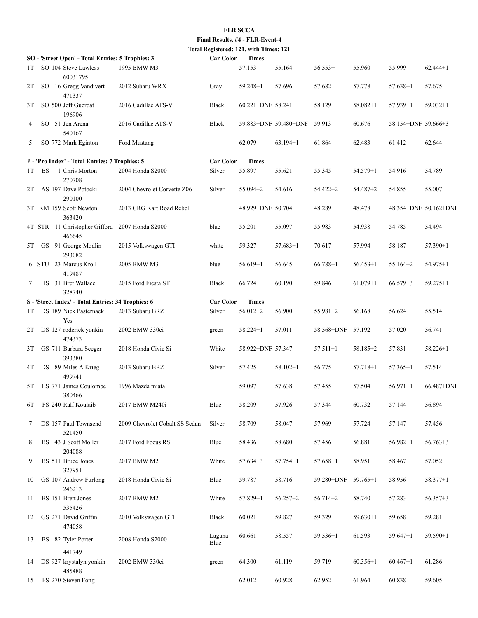## **FLR SCCA**

**Final Results, #4 - FLR-Event-4 Total Registered: 121, with Times: 121**

| <b>Car Color</b><br><b>Times</b><br>SO - 'Street Open' - Total Entries: 5 Trophies: 3 |     |  |                                                          |                                |                  |                   |                       |                     |              |                       |              |
|---------------------------------------------------------------------------------------|-----|--|----------------------------------------------------------|--------------------------------|------------------|-------------------|-----------------------|---------------------|--------------|-----------------------|--------------|
| 1T                                                                                    |     |  | SO 104 Steve Lawless<br>60031795                         | 1995 BMW M3                    |                  | 57.153            | 55.164                | $56.553+$           | 55.960       | 55.999                | $62.444+1$   |
| 2T                                                                                    |     |  | SO 16 Gregg Vandivert<br>471337                          | 2012 Subaru WRX                | Gray             | $59.248 + 1$      | 57.696                | 57.682              | 57.778       | $57.638 + 1$          | 57.675       |
| 3T                                                                                    |     |  | SO 500 Jeff Guerdat<br>196906                            | 2016 Cadillac ATS-V            | Black            | 60.221+DNF 58.241 |                       | 58.129              | $58.082 + 1$ | $57.939 + 1$          | $59.032 + 1$ |
| 4                                                                                     |     |  | SO 51 Jen Arena<br>540167                                | 2016 Cadillac ATS-V            | Black            |                   | 59.883+DNF 59.480+DNF | 59.913              | 60.676       | 58.154+DNF 59.666+3   |              |
| 5                                                                                     |     |  | SO 772 Mark Eginton                                      | Ford Mustang                   |                  | 62.079            | $63.194 + 1$          | 61.864              | 62.483       | 61.412                | 62.644       |
|                                                                                       |     |  | P - 'Pro Index' - Total Entries: 7 Trophies: 5           |                                | <b>Car Color</b> | <b>Times</b>      |                       |                     |              |                       |              |
| 1T                                                                                    | BS. |  | 1 Chris Morton<br>270708                                 | 2004 Honda S2000               | Silver           | 55.897            | 55.621                | 55.345              | $54.579 + 1$ | 54.916                | 54.789       |
| 2T                                                                                    |     |  | AS 197 Dave Potocki<br>290100                            | 2004 Chevrolet Corvette Z06    | Silver           | $55.094 + 2$      | 54.616                | $54.422 + 2$        | 54.487+2     | 54.855                | 55.007       |
|                                                                                       |     |  | 3T KM 159 Scott Newton<br>363420                         | 2013 CRG Kart Road Rebel       |                  | 48.929+DNF 50.704 |                       | 48.289              | 48.478       | 48.354+DNF 50.162+DNI |              |
|                                                                                       |     |  | 4T STR 11 Christopher Gifford 2007 Honda S2000<br>466645 |                                | blue             | 55.201            | 55.097                | 55.983              | 54.938       | 54.785                | 54.494       |
| 5T                                                                                    |     |  | GS 91 George Modlin<br>293082                            | 2015 Volkswagen GTI            | white            | 59.327            | $57.683+1$            | 70.617              | 57.994       | 58.187                | $57.390 + 1$ |
|                                                                                       |     |  | 6 STU 23 Marcus Kroll<br>419487                          | 2005 BMW M3                    | blue             | $56.619+1$        | 56.645                | $66.788 + 1$        | $56.453+1$   | $55.164 + 2$          | $54.975 + 1$ |
| 7                                                                                     |     |  | HS 31 Bret Wallace<br>328740                             | 2015 Ford Fiesta ST            | Black            | 66.724            | 60.190                | 59.846              | $61.079 + 1$ | $66.579 + 3$          | $59.275 + 1$ |
|                                                                                       |     |  | S - 'Street Index' - Total Entries: 34 Trophies: 6       |                                | <b>Car Color</b> | <b>Times</b>      |                       |                     |              |                       |              |
| 1T                                                                                    |     |  | DS 189 Nick Pasternack<br>Yes                            | 2013 Subaru BRZ                | Silver           | $56.012 + 2$      | 56.900                | $55.981 + 2$        | 56.168       | 56.624                | 55.514       |
| 2T                                                                                    |     |  | DS 127 roderick yonkin<br>474373                         | 2002 BMW 330ci                 | green            | $58.224 + 1$      | 57.011                | 58.568+DNF 57.192   |              | 57.020                | 56.741       |
| 3T                                                                                    |     |  | GS 711 Barbara Seeger<br>393380                          | 2018 Honda Civic Si            | White            | 58.922+DNF 57.347 |                       | $57.511 + 1$        | $58.185 + 2$ | 57.831                | $58.226 + 1$ |
| 4Т                                                                                    |     |  | DS 89 Miles A Krieg<br>499741                            | 2013 Subaru BRZ                | Silver           | 57.425            | $58.102 + 1$          | 56.775              | 57.718+1     | $57.365+1$            | 57.514       |
| 5T                                                                                    |     |  | ES 771 James Coulombe<br>380466                          | 1996 Mazda miata               |                  | 59.097            | 57.638                | 57.455              | 57.504       | $56.971 + 1$          | 66.487+DNI   |
| 6T                                                                                    |     |  | FS 240 Ralf Koulaib                                      | 2017 BMW M240i                 | Blue             | 58.209            | 57.926                | 57.344              | 60.732       | 57.144                | 56.894       |
| 7                                                                                     |     |  | DS 157 Paul Townsend<br>521450                           | 2009 Chevrolet Cobalt SS Sedan | Silver           | 58.709            | 58.047                | 57.969              | 57.724       | 57.147                | 57.456       |
| 8                                                                                     |     |  | BS 43 J Scott Moller<br>204088                           | 2017 Ford Focus RS             | Blue             | 58.436            | 58.680                | 57.456              | 56.881       | $56.982+1$            | $56.763+3$   |
| 9                                                                                     |     |  | BS 511 Bruce Jones<br>327951                             | 2017 BMW M2                    | White            | $57.634+3$        | $57.754 + 1$          | $57.658 + 1$        | 58.951       | 58.467                | 57.052       |
| 10                                                                                    |     |  | GS 107 Andrew Furlong<br>246213                          | 2018 Honda Civic Si            | Blue             | 59.787            | 58.716                | 59.280+DNF 59.765+1 |              | 58.956                | $58.377 + 1$ |
| 11                                                                                    |     |  | BS 151 Brett Jones<br>535426                             | 2017 BMW M2                    | White            | 57.829+1          | $56.257 + 2$          | $56.714 + 2$        | 58.740       | 57.283                | $56.357 + 3$ |
| 12                                                                                    |     |  | GS 271 David Griffin<br>474058                           | 2010 Volkswagen GTI            | Black            | 60.021            | 59.827                | 59.329              | $59.630+1$   | 59.658                | 59.281       |
| 13                                                                                    |     |  | BS 82 Tyler Porter                                       | 2008 Honda S2000               | Laguna<br>Blue   | 60.661            | 58.557                | $59.536+1$          | 61.593       | $59.647+1$            | 59.590+1     |
| 14                                                                                    |     |  | 441749<br>DS 927 krystalyn yonkin                        | 2002 BMW 330ci                 | green            | 64.300            | 61.119                | 59.719              | $60.356 + 1$ | $60.467+1$            | 61.286       |
| 15                                                                                    |     |  | 485488<br>FS 270 Steven Fong                             |                                |                  | 62.012            | 60.928                | 62.952              | 61.964       | 60.838                | 59.605       |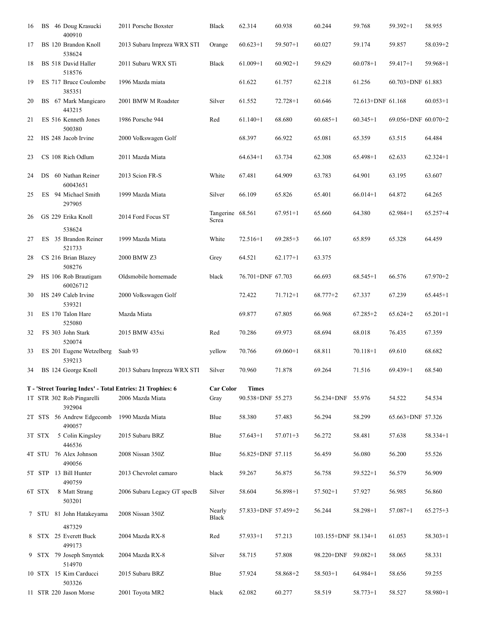| 16 |        | BS 46 Doug Krasucki<br>400910       | 2011 Porsche Boxster                                       | <b>Black</b>              | 62.314              | 60.938       | 60.244               | 59.768            | $59.392 + 1$        | 58.955       |
|----|--------|-------------------------------------|------------------------------------------------------------|---------------------------|---------------------|--------------|----------------------|-------------------|---------------------|--------------|
| 17 |        | BS 120 Brandon Knoll<br>538624      | 2013 Subaru Impreza WRX STI                                | Orange                    | $60.623+1$          | $59.507 + 1$ | 60.027               | 59.174            | 59.857              | 58.039+2     |
| 18 |        | BS 518 David Haller<br>518576       | 2011 Subaru WRX STi                                        | <b>Black</b>              | $61.009+1$          | $60.902 + 1$ | 59.629               | $60.078 + 1$      | $59.417 + 1$        | $59.968 + 1$ |
| 19 |        | ES 717 Bruce Coulombe<br>385351     | 1996 Mazda miata                                           |                           | 61.622              | 61.757       | 62.218               | 61.256            | 60.703+DNF 61.883   |              |
| 20 |        | BS 67 Mark Mangicaro<br>443215      | 2001 BMW M Roadster                                        | Silver                    | 61.552              | $72.728 + 1$ | 60.646               | 72.613+DNF 61.168 |                     | $60.053 + 1$ |
| 21 |        | ES 516 Kenneth Jones<br>500380      | 1986 Porsche 944                                           | Red                       | $61.140+1$          | 68.680       | $60.685+1$           | $60.345 + 1$      | 69.056+DNF 60.070+2 |              |
| 22 |        | HS 248 Jacob Irvine                 | 2000 Volkswagen Golf                                       |                           | 68.397              | 66.922       | 65.081               | 65.359            | 63.515              | 64.484       |
| 23 |        | CS 108 Rich Odlum                   | 2011 Mazda Miata                                           |                           | $64.634+1$          | 63.734       | 62.308               | $65.498+1$        | 62.633              | $62.324 + 1$ |
| 24 |        | DS 60 Nathan Reiner<br>60043651     | 2013 Scion FR-S                                            | White                     | 67.481              | 64.909       | 63.783               | 64.901            | 63.195              | 63.607       |
| 25 |        | ES 94 Michael Smith<br>297905       | 1999 Mazda Miata                                           | Silver                    | 66.109              | 65.826       | 65.401               | $66.014+1$        | 64.872              | 64.265       |
| 26 |        | GS 229 Erika Knoll                  | 2014 Ford Focus ST                                         | Tangerine 68.561<br>Screa |                     | $67.951 + 1$ | 65.660               | 64.380            | $62.984 + 1$        | $65.257 + 4$ |
| 27 |        | 538624<br>ES 35 Brandon Reiner      | 1999 Mazda Miata                                           | White                     | $72.516 + 1$        | $69.285 + 3$ | 66.107               | 65.859            | 65.328              | 64.459       |
| 28 |        | 521733<br>CS 216 Brian Blazey       | 2000 BMW Z3                                                | Grey                      | 64.521              | $62.177 + 1$ | 63.375               |                   |                     |              |
| 29 |        | 508276<br>HS 106 Rob Brautigam      | Oldsmobile homemade                                        | black                     | 76.701+DNF 67.703   |              | 66.693               | $68.545+1$        | 66.576              | $67.970 + 2$ |
| 30 |        | 60026712<br>HS 249 Caleb Irvine     | 2000 Volkswagen Golf                                       |                           | 72.422              | $71.712 + 1$ | $68.777 + 2$         | 67.337            | 67.239              | $65.445 + 1$ |
| 31 |        | 539321<br>ES 170 Talon Hare         | Mazda Miata                                                |                           | 69.877              | 67.805       | 66.968               | $67.285 + 2$      | $65.624 + 2$        | $65.201 + 1$ |
| 32 |        | 525080<br>FS 303 John Stark         | 2015 BMW 435xi                                             | Red                       | 70.286              | 69.973       | 68.694               | 68.018            | 76.435              | 67.359       |
| 33 |        | 520074<br>ES 201 Eugene Wetzelberg  | Saab 93                                                    | yellow                    | 70.766              | $69.060+1$   | 68.811               | $70.118 + 1$      | 69.610              | 68.682       |
|    |        | 539213<br>34 BS 124 George Knoll    | 2013 Subaru Impreza WRX STI                                | Silver                    | 70.960              | 71.878       | 69.264               | 71.516            | $69.439 + 1$        | 68.540       |
|    |        |                                     | T - 'Street Touring Index' - Total Entries: 21 Trophies: 6 | <b>Car Color</b>          | <b>Times</b>        |              |                      |                   |                     |              |
|    |        | 1T STR 302 Rob Pingarelli<br>392904 | 2006 Mazda Miata                                           | Gray                      | 90.538+DNF 55.273   |              | 56.234+DNF 55.976    |                   | 54.522              | 54.534       |
|    |        | 2T STS 56 Andrew Edgecomb<br>490057 | 1990 Mazda Miata                                           | Blue                      | 58.380              | 57.483       | 56.294               | 58.299            | 65.663+DNF 57.326   |              |
|    | 3T STX | 5 Colin Kingsley<br>446536          | 2015 Subaru BRZ                                            | Blue                      | $57.643+1$          | $57.071 + 3$ | 56.272               | 58.481            | 57.638              | $58.334 + 1$ |
|    |        | 4T STU 76 Alex Johnson<br>490056    | 2008 Nissan 350Z                                           | Blue                      | 56.825+DNF 57.115   |              | 56.459               | 56.080            | 56.200              | 55.526       |
|    |        | 5T STP 13 Bill Hunter<br>490759     | 2013 Chevrolet camaro                                      | black                     | 59.267              | 56.875       | 56.758               | $59.522 + 1$      | 56.579              | 56.909       |
|    | 6T STX | 8 Matt Strang<br>503201             | 2006 Subaru Legacy GT specB                                | Silver                    | 58.604              | 56.898+1     | $57.502+1$           | 57.927            | 56.985              | 56.860       |
|    |        | 7 STU 81 John Hatakeyama            | 2008 Nissan 350Z                                           | Nearly<br>Black           | 57.833+DNF 57.459+2 |              | 56.244               | 58.298+1          | 57.087+1            | $65.275 + 3$ |
|    |        | 487329<br>8 STX 25 Everett Buck     | 2004 Mazda RX-8                                            | Red                       | $57.933+1$          | 57.213       | 103.155+DNF 58.134+1 |                   | 61.053              | $58.303 + 1$ |
|    |        | 499173<br>9 STX 79 Joseph Smyntek   | 2004 Mazda RX-8                                            | Silver                    | 58.715              | 57.808       | 98.220+DNF 59.082+1  |                   | 58.065              | 58.331       |
|    |        | 514970                              |                                                            |                           |                     |              |                      |                   |                     |              |
|    |        | 10 STX 15 Kim Carducci<br>503326    | 2015 Subaru BRZ                                            | Blue                      | 57.924              | 58.868+2     | $58.503+1$           | $64.984+1$        | 58.656              | 59.255       |
|    |        | 11 STR 220 Jason Morse              | 2001 Toyota MR2                                            | black                     | 62.082              | 60.277       | 58.519               | $58.773 + 1$      | 58.527              | 58.980+1     |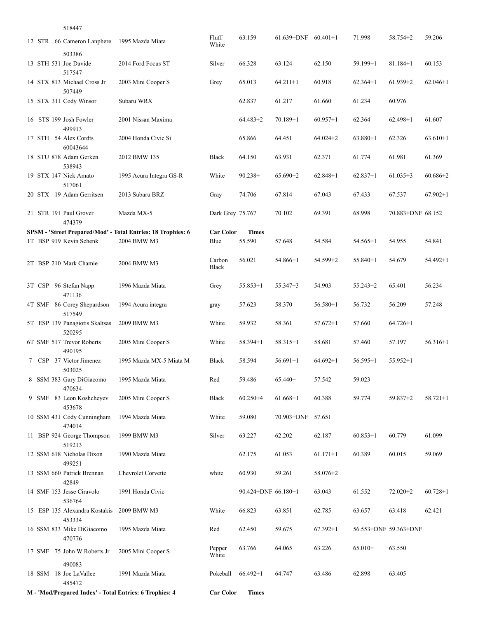|  | 518447                                              |                                                              |                   |                     |                         |              |              |                       |              |
|--|-----------------------------------------------------|--------------------------------------------------------------|-------------------|---------------------|-------------------------|--------------|--------------|-----------------------|--------------|
|  | 12 STR 66 Cameron Lanphere                          | 1995 Mazda Miata                                             | Fluff<br>White    | 63.159              | $61.639+DNF$ $60.401+1$ |              | 71.998       | 58.754+2              | 59.206       |
|  | 503386<br>13 STH 531 Joe Davide<br>517547           | 2014 Ford Focus ST                                           | Silver            | 66.328              | 63.124                  | 62.150       | $59.199 + 1$ | $81.184 + 1$          | 60.153       |
|  | 14 STX 813 Michael Cross Jr<br>507449               | 2003 Mini Cooper S                                           | Grey              | 65.013              | $64.211 + 1$            | 60.918       | $62.364+1$   | $61.939 + 2$          | $62.046 + 1$ |
|  | 15 STX 311 Cody Winsor                              | Subaru WRX                                                   |                   | 62.837              | 61.217                  | 61.660       | 61.234       | 60.976                |              |
|  | 16 STS 199 Josh Fowler<br>499913                    | 2001 Nissan Maxima                                           |                   | $64.483+2$          | $70.189 + 1$            | $60.957+1$   | 62.364       | $62.498 + 1$          | 61.607       |
|  | 17 STH 54 Alex Cordts<br>60043644                   | 2004 Honda Civic Si                                          |                   | 65.866              | 64.451                  | $64.024 + 2$ | $63.880+1$   | 62.326                | $63.610+1$   |
|  | 18 STU 878 Adam Gerken<br>538943                    | 2012 BMW 135                                                 | <b>Black</b>      | 64.150              | 63.931                  | 62.371       | 61.774       | 61.981                | 61.369       |
|  | 19 STX 147 Nick Amato<br>517061                     | 1995 Acura Integra GS-R                                      | White             | $90.238+$           | $65.690+2$              | $62.848+1$   | $62.837+1$   | $61.035+3$            | $60.686 + 2$ |
|  | 20 STX 19 Adam Gerritsen                            | 2013 Subaru BRZ                                              | Gray              | 74.706              | 67.814                  | 67.043       | 67.433       | 67.537                | $67.902 + 1$ |
|  | 21 STR 191 Paul Grover<br>474379                    | Mazda MX-5                                                   | Dark Grey 75.767  |                     | 70.102                  | 69.391       | 68.998       | 70.883+DNF 68.152     |              |
|  |                                                     | SPSM - 'Street Prepared/Mod' - Total Entries: 18 Trophies: 6 | <b>Car Color</b>  | <b>Times</b>        |                         |              |              |                       |              |
|  | 1T BSP 919 Kevin Schenk                             | 2004 BMW M3                                                  | Blue              | 55.590              | 57.648                  | 54.584       | $54.565+1$   | 54.955                | 54.841       |
|  | 2T BSP 210 Mark Chamie                              | 2004 BMW M3                                                  | Carbon<br>Black   | 56.021              | $54.866+1$              | $54.599 + 2$ | $55.840+1$   | 54.679                | $54.492 + 1$ |
|  | 3T CSP 96 Stefan Napp<br>471136                     | 1996 Mazda Miata                                             | Grey              | $55.853 + 1$        | $55.347 + 3$            | 54.903       | $55.243 + 2$ | 65.401                | 56.234       |
|  | 4T SMF 86 Corey Shepardson<br>517549                | 1994 Acura integra                                           | gray              | 57.623              | 58.370                  | $56.580 + 1$ | 56.732       | 56.209                | 57.248       |
|  | 5T ESP 139 Panagiotis Skaltsas<br>520295            | 2009 BMW M3                                                  | White             | 59.932              | 58.361                  | $57.672 + 1$ | 57.660       | $64.726 + 1$          |              |
|  | 6T SMF 517 Trevor Roberts<br>490195                 | 2005 Mini Cooper S                                           | White             | $58.394 + 1$        | $58.315+1$              | 58.681       | 57.460       | 57.197                | $56.316 + 1$ |
|  | 7 CSP 37 Victor Jimenez<br>503025                   | 1995 Mazda MX-5 Miata M                                      | <b>Black</b>      | 58.594              | $56.691 + 1$            | $64.692+1$   | $56.595 + 1$ | $55.952 + 1$          |              |
|  | 8 SSM 383 Gary DiGiacomo<br>470634                  | 1995 Mazda Miata                                             | Red               | 59.486              | $65.440+$               | 57.542       | 59.023       |                       |              |
|  | 9 SMF 83 Leon Koshcheyev<br>453678                  | 2005 Mini Cooper S                                           | Black             | $60.250 + 4$        | $61.668+1$              | 60.388       | 59.774       | $59.837 + 2$          | $58.721 + 1$ |
|  | 10 SSM 431 Cody Cunningham<br>474014                | 1994 Mazda Miata                                             | White             | 59.080              | 70.903+DNF 57.651       |              |              |                       |              |
|  | 11 BSP 924 George Thompson<br>519213                | 1999 BMW M3                                                  | Silver            | 63.227              | 62.202                  | 62.187       | $60.853+1$   | 60.779                | 61.099       |
|  | 12 SSM 618 Nicholas Dixon<br>499251                 | 1990 Mazda Miata                                             |                   | 62.175              | 61.053                  | $61.171 + 1$ | 60.389       | 60.015                | 59.069       |
|  | 13 SSM 660 Patrick Brennan<br>42849                 | Chevrolet Corvette                                           | white             | 60.930              | 59.261                  | 58.076+2     |              |                       |              |
|  | 14 SMF 153 Jesse Ciravolo<br>536764                 | 1991 Honda Civic                                             |                   | 90.424+DNF 66.180+1 |                         | 63.043       | 61.552       | $72.020 + 2$          | $60.728 + 1$ |
|  | 15 ESP 135 Alexandra Kostakis 2009 BMW M3<br>453334 |                                                              | White             | 66.823              | 63.851                  | 62.785       | 63.657       | 63.418                | 62.421       |
|  | 16 SSM 833 Mike DiGiacomo<br>470776                 | 1995 Mazda Miata                                             | Red               | 62.450              | 59.675                  | $67.392+1$   |              | 56.553+DNF 59.363+DNF |              |
|  | 17 SMF 75 John W Roberts Jr<br>490083               | 2005 Mini Cooper S                                           | Pepper<br>White   | 63.766              | 64.065                  | 63.226       | $65.010+$    | 63.550                |              |
|  | 18 SSM 18 Joe LaVallee<br>485472                    | 1991 Mazda Miata                                             | Pokeball 66.492+1 |                     | 64.747                  | 63.486       | 62.898       | 63.405                |              |
|  |                                                     | M - 'Mod/Prepared Index' - Total Entries: 6 Trophies: 4      | <b>Car Color</b>  | <b>Times</b>        |                         |              |              |                       |              |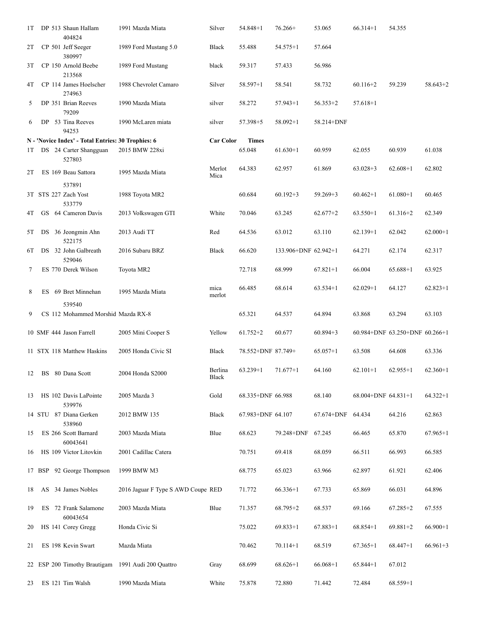| 1T  |  | DP 513 Shaun Hallam<br>404824                                                          | 1991 Mazda Miata                   | Silver           | 54.848+1               | $76.266+$            | 53.065            | $66.314 + 1$        | 54.355                         |              |
|-----|--|----------------------------------------------------------------------------------------|------------------------------------|------------------|------------------------|----------------------|-------------------|---------------------|--------------------------------|--------------|
| 2T  |  | CP 501 Jeff Seeger<br>380997                                                           | 1989 Ford Mustang 5.0              | Black            | 55.488                 | $54.575 + 1$         | 57.664            |                     |                                |              |
| 3Τ  |  | CP 150 Arnold Beebe<br>213568                                                          | 1989 Ford Mustang                  | black            | 59.317                 | 57.433               | 56.986            |                     |                                |              |
| 4Τ  |  | CP 114 James Hoelscher<br>274963                                                       | 1988 Chevrolet Camaro              | Silver           | $58.597+1$             | 58.541               | 58.732            | $60.116 + 2$        | 59.239                         | $58.643+2$   |
| 5   |  | DP 351 Brian Reeves<br>79209                                                           | 1990 Mazda Miata                   | silver           | 58.272                 | $57.943 + 1$         | $56.353+2$        | $57.618 + 1$        |                                |              |
| 6   |  | DP 53 Tina Reeves<br>94253                                                             | 1990 McLaren miata                 | silver           | $57.398 + 5$           | $58.092 + 1$         | 58.214+DNF        |                     |                                |              |
| 1T. |  | N - 'Novice Index' - Total Entries: 30 Trophies: 6<br>DS 24 Carter Shangguan<br>527803 | 2015 BMW 228xi                     | <b>Car Color</b> | <b>Times</b><br>65.048 | $61.630+1$           | 60.959            | 62.055              | 60.939                         | 61.038       |
| 2T  |  | ES 169 Beau Sattora                                                                    | 1995 Mazda Miata                   | Merlot<br>Mica   | 64.383                 | 62.957               | 61.869            | $63.028 + 3$        | $62.608+1$                     | 62.802       |
|     |  | 537891<br>3T STS 227 Zach Yost<br>533779                                               | 1988 Toyota MR2                    |                  | 60.684                 | $60.192 + 3$         | $59.269 + 3$      | $60.462 + 1$        | $61.080 + 1$                   | 60.465       |
| 4Τ  |  | GS 64 Cameron Davis                                                                    | 2013 Volkswagen GTI                | White            | 70.046                 | 63.245               | $62.677 + 2$      | $63.550+1$          | $61.316 + 2$                   | 62.349       |
| 5T  |  | DS 36 Jeongmin Ahn<br>522175                                                           | 2013 Audi TT                       | Red              | 64.536                 | 63.012               | 63.110            | $62.139+1$          | 62.042                         | $62.000 + 1$ |
| 6Т  |  | DS 32 John Galbreath<br>529046                                                         | 2016 Subaru BRZ                    | <b>Black</b>     | 66.620                 | 133.906+DNF 62.942+1 |                   | 64.271              | 62.174                         | 62.317       |
| 7   |  | ES 770 Derek Wilson                                                                    | Toyota MR2                         |                  | 72.718                 | 68.999               | $67.821 + 1$      | 66.004              | $65.688 + 1$                   | 63.925       |
| 8   |  | ES 69 Bret Minnehan                                                                    | 1995 Mazda Miata                   | mica<br>merlot   | 66.485                 | 68.614               | $63.534+1$        | $62.029 + 1$        | 64.127                         | $62.823 + 1$ |
| 9   |  | 539540<br>CS 112 Mohammed Morshid Mazda RX-8                                           |                                    |                  | 65.321                 | 64.537               | 64.894            | 63.868              | 63.294                         | 63.103       |
|     |  | 10 SMF 444 Jason Farrell                                                               | 2005 Mini Cooper S                 | Yellow           | $61.752 + 2$           | 60.677               | $60.894 + 3$      |                     | 60.984+DNF 63.250+DNF 60.266+1 |              |
|     |  | 11 STX 118 Matthew Haskins                                                             | 2005 Honda Civic SI                | Black            | 78.552+DNF 87.749+     |                      | $65.057+1$        | 63.508              | 64.608                         | 63.336       |
|     |  | 12 BS 80 Dana Scott                                                                    | 2004 Honda S2000                   | Berlina<br>Black | $63.239 + 1$           | $71.677+1$           | 64.160            | $62.101+1$          | $62.955+1$                     | $62.360+1$   |
| 13  |  | HS 102 Davis LaPointe<br>539976                                                        | 2005 Mazda 3                       | Gold             | 68.335+DNF 66.988      |                      | 68.140            | 68.004+DNF 64.831+1 |                                | $64.322 + 1$ |
|     |  | 14 STU 87 Diana Gerken<br>538960                                                       | 2012 BMW 135                       | Black            | 67.983+DNF 64.107      |                      | 67.674+DNF 64.434 |                     | 64.216                         | 62.863       |
| 15  |  | ES 266 Scott Barnard<br>60043641                                                       | 2003 Mazda Miata                   | Blue             | 68.623                 | 79.248+DNF           | 67.245            | 66.465              | 65.870                         | $67.965 + 1$ |
| 16  |  | HS 109 Victor Litovkin                                                                 | 2001 Cadillac Catera               |                  | 70.751                 | 69.418               | 68.059            | 66.511              | 66.993                         | 66.585       |
|     |  | 17 BSP 92 George Thompson                                                              | 1999 BMW M3                        |                  | 68.775                 | 65.023               | 63.966            | 62.897              | 61.921                         | 62.406       |
| 18  |  | AS 34 James Nobles                                                                     | 2016 Jaguar F Type S AWD Coupe RED |                  | 71.772                 | $66.336+1$           | 67.733            | 65.869              | 66.031                         | 64.896       |
| 19  |  | ES 72 Frank Salamone<br>60043654                                                       | 2003 Mazda Miata                   | Blue             | 71.357                 | $68.795 + 2$         | 68.537            | 69.166              | $67.285 + 2$                   | 67.555       |
| 20  |  | HS 141 Corey Gregg                                                                     | Honda Civic Si                     |                  | 75.022                 | $69.833 + 1$         | $67.883+1$        | $68.854+1$          | $69.881 + 2$                   | $66.900 + 1$ |
| 21  |  | ES 198 Kevin Swart                                                                     | Mazda Miata                        |                  | 70.462                 | $70.114 + 1$         | 68.519            | $67.365+1$          | $68.447+1$                     | $66.961+3$   |
|     |  | 22 ESP 200 Timothy Brautigam                                                           | 1991 Audi 200 Quattro              | Gray             | 68.699                 | $68.626+1$           | $66.068 + 1$      | $65.844+1$          | 67.012                         |              |
| 23  |  | ES 121 Tim Walsh                                                                       | 1990 Mazda Miata                   | White            | 75.878                 | 72.880               | 71.442            | 72.484              | $68.559 + 1$                   |              |